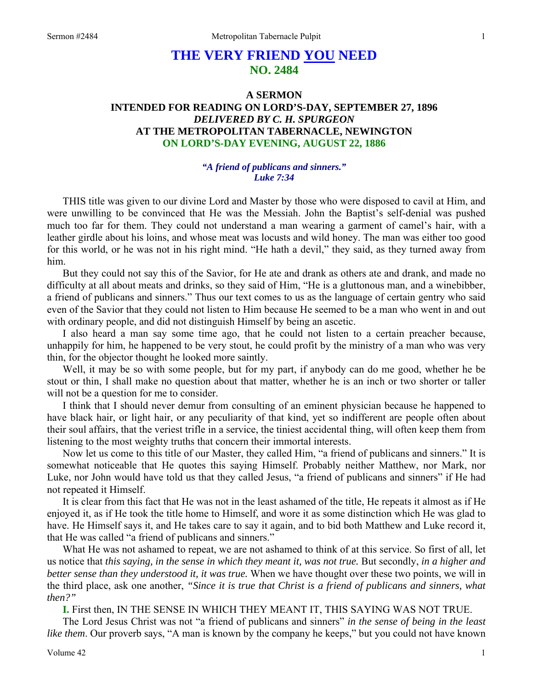# **THE VERY FRIEND YOU NEED NO. 2484**

## **A SERMON INTENDED FOR READING ON LORD'S-DAY, SEPTEMBER 27, 1896**  *DELIVERED BY C. H. SPURGEON*  **AT THE METROPOLITAN TABERNACLE, NEWINGTON ON LORD'S-DAY EVENING, AUGUST 22, 1886**

### *"A friend of publicans and sinners." Luke 7:34*

THIS title was given to our divine Lord and Master by those who were disposed to cavil at Him, and were unwilling to be convinced that He was the Messiah. John the Baptist's self-denial was pushed much too far for them. They could not understand a man wearing a garment of camel's hair, with a leather girdle about his loins, and whose meat was locusts and wild honey. The man was either too good for this world, or he was not in his right mind. "He hath a devil," they said, as they turned away from him.

But they could not say this of the Savior, for He ate and drank as others ate and drank, and made no difficulty at all about meats and drinks, so they said of Him, "He is a gluttonous man, and a winebibber, a friend of publicans and sinners." Thus our text comes to us as the language of certain gentry who said even of the Savior that they could not listen to Him because He seemed to be a man who went in and out with ordinary people, and did not distinguish Himself by being an ascetic.

I also heard a man say some time ago, that he could not listen to a certain preacher because, unhappily for him, he happened to be very stout, he could profit by the ministry of a man who was very thin, for the objector thought he looked more saintly.

Well, it may be so with some people, but for my part, if anybody can do me good, whether he be stout or thin, I shall make no question about that matter, whether he is an inch or two shorter or taller will not be a question for me to consider.

I think that I should never demur from consulting of an eminent physician because he happened to have black hair, or light hair, or any peculiarity of that kind, yet so indifferent are people often about their soul affairs, that the veriest trifle in a service, the tiniest accidental thing, will often keep them from listening to the most weighty truths that concern their immortal interests.

Now let us come to this title of our Master, they called Him, "a friend of publicans and sinners." It is somewhat noticeable that He quotes this saying Himself. Probably neither Matthew, nor Mark, nor Luke, nor John would have told us that they called Jesus, "a friend of publicans and sinners" if He had not repeated it Himself.

It is clear from this fact that He was not in the least ashamed of the title, He repeats it almost as if He enjoyed it, as if He took the title home to Himself, and wore it as some distinction which He was glad to have. He Himself says it, and He takes care to say it again, and to bid both Matthew and Luke record it, that He was called "a friend of publicans and sinners."

What He was not ashamed to repeat, we are not ashamed to think of at this service. So first of all, let us notice that *this saying, in the sense in which they meant it, was not true.* But secondly, *in a higher and better sense than they understood it, it was true.* When we have thought over these two points, we will in the third place, ask one another, *"Since it is true that Christ is a friend of publicans and sinners, what then?"* 

**I.** First then, IN THE SENSE IN WHICH THEY MEANT IT, THIS SAYING WAS NOT TRUE.

The Lord Jesus Christ was not "a friend of publicans and sinners" *in the sense of being in the least like them*. Our proverb says, "A man is known by the company he keeps," but you could not have known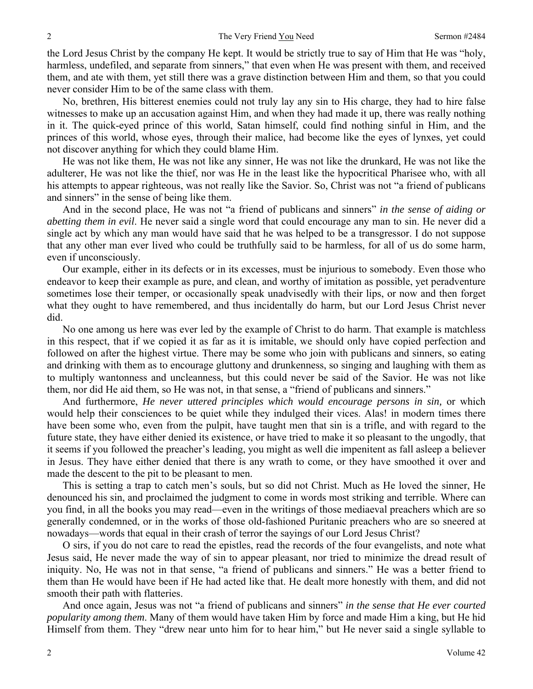the Lord Jesus Christ by the company He kept. It would be strictly true to say of Him that He was "holy, harmless, undefiled, and separate from sinners," that even when He was present with them, and received them, and ate with them, yet still there was a grave distinction between Him and them, so that you could never consider Him to be of the same class with them.

No, brethren, His bitterest enemies could not truly lay any sin to His charge, they had to hire false witnesses to make up an accusation against Him, and when they had made it up, there was really nothing in it. The quick-eyed prince of this world, Satan himself, could find nothing sinful in Him, and the princes of this world, whose eyes, through their malice, had become like the eyes of lynxes, yet could not discover anything for which they could blame Him.

He was not like them, He was not like any sinner, He was not like the drunkard, He was not like the adulterer, He was not like the thief, nor was He in the least like the hypocritical Pharisee who, with all his attempts to appear righteous, was not really like the Savior. So, Christ was not "a friend of publicans and sinners" in the sense of being like them.

And in the second place, He was not "a friend of publicans and sinners" *in the sense of aiding or abetting them in evil*. He never said a single word that could encourage any man to sin. He never did a single act by which any man would have said that he was helped to be a transgressor. I do not suppose that any other man ever lived who could be truthfully said to be harmless, for all of us do some harm, even if unconsciously.

Our example, either in its defects or in its excesses, must be injurious to somebody. Even those who endeavor to keep their example as pure, and clean, and worthy of imitation as possible, yet peradventure sometimes lose their temper, or occasionally speak unadvisedly with their lips, or now and then forget what they ought to have remembered, and thus incidentally do harm, but our Lord Jesus Christ never did.

No one among us here was ever led by the example of Christ to do harm. That example is matchless in this respect, that if we copied it as far as it is imitable, we should only have copied perfection and followed on after the highest virtue. There may be some who join with publicans and sinners, so eating and drinking with them as to encourage gluttony and drunkenness, so singing and laughing with them as to multiply wantonness and uncleanness, but this could never be said of the Savior. He was not like them, nor did He aid them, so He was not, in that sense, a "friend of publicans and sinners."

And furthermore, *He never uttered principles which would encourage persons in sin,* or which would help their consciences to be quiet while they indulged their vices. Alas! in modern times there have been some who, even from the pulpit, have taught men that sin is a trifle, and with regard to the future state, they have either denied its existence, or have tried to make it so pleasant to the ungodly, that it seems if you followed the preacher's leading, you might as well die impenitent as fall asleep a believer in Jesus. They have either denied that there is any wrath to come, or they have smoothed it over and made the descent to the pit to be pleasant to men.

This is setting a trap to catch men's souls, but so did not Christ. Much as He loved the sinner, He denounced his sin, and proclaimed the judgment to come in words most striking and terrible. Where can you find, in all the books you may read—even in the writings of those mediaeval preachers which are so generally condemned, or in the works of those old-fashioned Puritanic preachers who are so sneered at nowadays—words that equal in their crash of terror the sayings of our Lord Jesus Christ?

O sirs, if you do not care to read the epistles, read the records of the four evangelists, and note what Jesus said, He never made the way of sin to appear pleasant, nor tried to minimize the dread result of iniquity. No, He was not in that sense, "a friend of publicans and sinners." He was a better friend to them than He would have been if He had acted like that. He dealt more honestly with them, and did not smooth their path with flatteries.

And once again, Jesus was not "a friend of publicans and sinners" *in the sense that He ever courted popularity among them*. Many of them would have taken Him by force and made Him a king, but He hid Himself from them. They "drew near unto him for to hear him," but He never said a single syllable to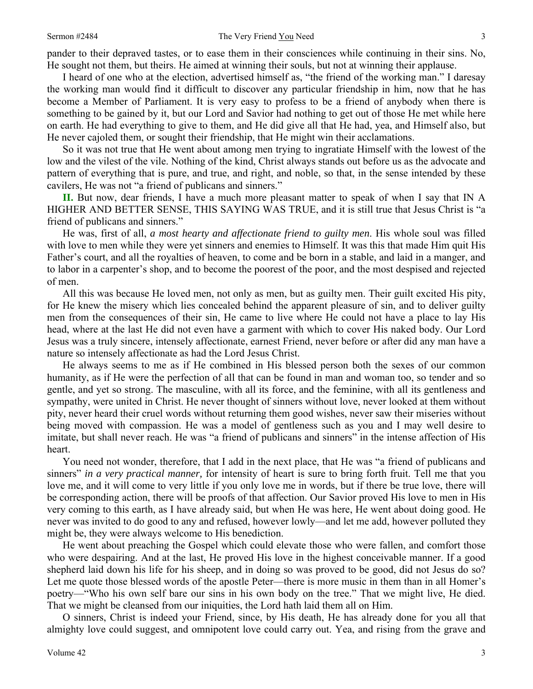pander to their depraved tastes, or to ease them in their consciences while continuing in their sins. No, He sought not them, but theirs. He aimed at winning their souls, but not at winning their applause.

I heard of one who at the election, advertised himself as, "the friend of the working man." I daresay the working man would find it difficult to discover any particular friendship in him, now that he has become a Member of Parliament. It is very easy to profess to be a friend of anybody when there is something to be gained by it, but our Lord and Savior had nothing to get out of those He met while here on earth. He had everything to give to them, and He did give all that He had, yea, and Himself also, but He never cajoled them, or sought their friendship, that He might win their acclamations.

So it was not true that He went about among men trying to ingratiate Himself with the lowest of the low and the vilest of the vile. Nothing of the kind, Christ always stands out before us as the advocate and pattern of everything that is pure, and true, and right, and noble, so that, in the sense intended by these cavilers, He was not "a friend of publicans and sinners."

**II.** But now, dear friends, I have a much more pleasant matter to speak of when I say that IN A HIGHER AND BETTER SENSE, THIS SAYING WAS TRUE, and it is still true that Jesus Christ is "a friend of publicans and sinners."

He was, first of all, *a most hearty and affectionate friend to guilty men*. His whole soul was filled with love to men while they were yet sinners and enemies to Himself. It was this that made Him quit His Father's court, and all the royalties of heaven, to come and be born in a stable, and laid in a manger, and to labor in a carpenter's shop, and to become the poorest of the poor, and the most despised and rejected of men.

All this was because He loved men, not only as men, but as guilty men. Their guilt excited His pity, for He knew the misery which lies concealed behind the apparent pleasure of sin, and to deliver guilty men from the consequences of their sin, He came to live where He could not have a place to lay His head, where at the last He did not even have a garment with which to cover His naked body. Our Lord Jesus was a truly sincere, intensely affectionate, earnest Friend, never before or after did any man have a nature so intensely affectionate as had the Lord Jesus Christ.

He always seems to me as if He combined in His blessed person both the sexes of our common humanity, as if He were the perfection of all that can be found in man and woman too, so tender and so gentle, and yet so strong. The masculine, with all its force, and the feminine, with all its gentleness and sympathy, were united in Christ. He never thought of sinners without love, never looked at them without pity, never heard their cruel words without returning them good wishes, never saw their miseries without being moved with compassion. He was a model of gentleness such as you and I may well desire to imitate, but shall never reach. He was "a friend of publicans and sinners" in the intense affection of His heart.

You need not wonder, therefore, that I add in the next place, that He was "a friend of publicans and sinners" *in a very practical manner,* for intensity of heart is sure to bring forth fruit. Tell me that you love me, and it will come to very little if you only love me in words, but if there be true love, there will be corresponding action, there will be proofs of that affection. Our Savior proved His love to men in His very coming to this earth, as I have already said, but when He was here, He went about doing good. He never was invited to do good to any and refused, however lowly—and let me add, however polluted they might be, they were always welcome to His benediction.

He went about preaching the Gospel which could elevate those who were fallen, and comfort those who were despairing. And at the last, He proved His love in the highest conceivable manner. If a good shepherd laid down his life for his sheep, and in doing so was proved to be good, did not Jesus do so? Let me quote those blessed words of the apostle Peter—there is more music in them than in all Homer's poetry—"Who his own self bare our sins in his own body on the tree." That we might live, He died. That we might be cleansed from our iniquities, the Lord hath laid them all on Him.

O sinners, Christ is indeed your Friend, since, by His death, He has already done for you all that almighty love could suggest, and omnipotent love could carry out. Yea, and rising from the grave and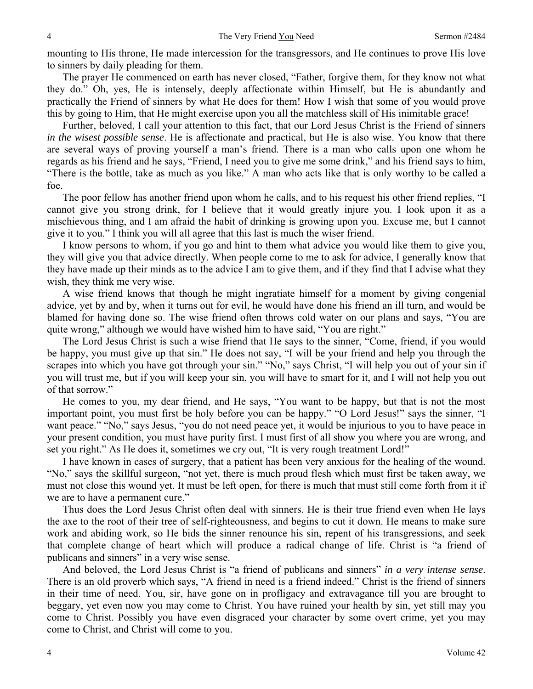mounting to His throne, He made intercession for the transgressors, and He continues to prove His love to sinners by daily pleading for them.

The prayer He commenced on earth has never closed, "Father, forgive them, for they know not what they do." Oh, yes, He is intensely, deeply affectionate within Himself, but He is abundantly and practically the Friend of sinners by what He does for them! How I wish that some of you would prove this by going to Him, that He might exercise upon you all the matchless skill of His inimitable grace!

Further, beloved, I call your attention to this fact, that our Lord Jesus Christ is the Friend of sinners *in the wisest possible sense*. He is affectionate and practical, but He is also wise. You know that there are several ways of proving yourself a man's friend. There is a man who calls upon one whom he regards as his friend and he says, "Friend, I need you to give me some drink," and his friend says to him, "There is the bottle, take as much as you like." A man who acts like that is only worthy to be called a foe.

The poor fellow has another friend upon whom he calls, and to his request his other friend replies, "I cannot give you strong drink, for I believe that it would greatly injure you. I look upon it as a mischievous thing, and I am afraid the habit of drinking is growing upon you. Excuse me, but I cannot give it to you." I think you will all agree that this last is much the wiser friend.

I know persons to whom, if you go and hint to them what advice you would like them to give you, they will give you that advice directly. When people come to me to ask for advice, I generally know that they have made up their minds as to the advice I am to give them, and if they find that I advise what they wish, they think me very wise.

A wise friend knows that though he might ingratiate himself for a moment by giving congenial advice, yet by and by, when it turns out for evil, he would have done his friend an ill turn, and would be blamed for having done so. The wise friend often throws cold water on our plans and says, "You are quite wrong," although we would have wished him to have said, "You are right."

The Lord Jesus Christ is such a wise friend that He says to the sinner, "Come, friend, if you would be happy, you must give up that sin." He does not say, "I will be your friend and help you through the scrapes into which you have got through your sin." "No," says Christ, "I will help you out of your sin if you will trust me, but if you will keep your sin, you will have to smart for it, and I will not help you out of that sorrow."

He comes to you, my dear friend, and He says, "You want to be happy, but that is not the most important point, you must first be holy before you can be happy." "O Lord Jesus!" says the sinner, "I want peace." "No," says Jesus, "you do not need peace yet, it would be injurious to you to have peace in your present condition, you must have purity first. I must first of all show you where you are wrong, and set you right." As He does it, sometimes we cry out, "It is very rough treatment Lord!"

I have known in cases of surgery, that a patient has been very anxious for the healing of the wound. "No," says the skillful surgeon, "not yet, there is much proud flesh which must first be taken away, we must not close this wound yet. It must be left open, for there is much that must still come forth from it if we are to have a permanent cure."

Thus does the Lord Jesus Christ often deal with sinners. He is their true friend even when He lays the axe to the root of their tree of self-righteousness, and begins to cut it down. He means to make sure work and abiding work, so He bids the sinner renounce his sin, repent of his transgressions, and seek that complete change of heart which will produce a radical change of life. Christ is "a friend of publicans and sinners" in a very wise sense.

And beloved, the Lord Jesus Christ is "a friend of publicans and sinners" *in a very intense sense*. There is an old proverb which says, "A friend in need is a friend indeed." Christ is the friend of sinners in their time of need. You, sir, have gone on in profligacy and extravagance till you are brought to beggary, yet even now you may come to Christ. You have ruined your health by sin, yet still may you come to Christ. Possibly you have even disgraced your character by some overt crime, yet you may come to Christ, and Christ will come to you.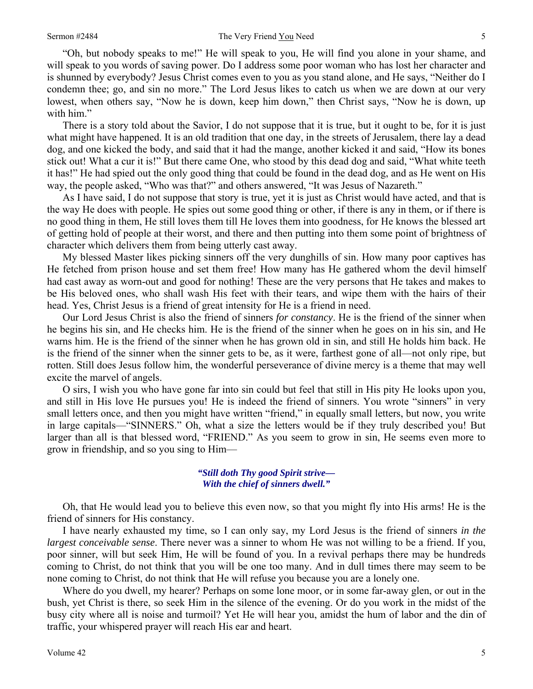"Oh, but nobody speaks to me!" He will speak to you, He will find you alone in your shame, and will speak to you words of saving power. Do I address some poor woman who has lost her character and is shunned by everybody? Jesus Christ comes even to you as you stand alone, and He says, "Neither do I condemn thee; go, and sin no more." The Lord Jesus likes to catch us when we are down at our very lowest, when others say, "Now he is down, keep him down," then Christ says, "Now he is down, up with him."

There is a story told about the Savior, I do not suppose that it is true, but it ought to be, for it is just what might have happened. It is an old tradition that one day, in the streets of Jerusalem, there lay a dead dog, and one kicked the body, and said that it had the mange, another kicked it and said, "How its bones stick out! What a cur it is!" But there came One, who stood by this dead dog and said, "What white teeth it has!" He had spied out the only good thing that could be found in the dead dog, and as He went on His way, the people asked, "Who was that?" and others answered, "It was Jesus of Nazareth."

As I have said, I do not suppose that story is true, yet it is just as Christ would have acted, and that is the way He does with people. He spies out some good thing or other, if there is any in them, or if there is no good thing in them, He still loves them till He loves them into goodness, for He knows the blessed art of getting hold of people at their worst, and there and then putting into them some point of brightness of character which delivers them from being utterly cast away.

My blessed Master likes picking sinners off the very dunghills of sin. How many poor captives has He fetched from prison house and set them free! How many has He gathered whom the devil himself had cast away as worn-out and good for nothing! These are the very persons that He takes and makes to be His beloved ones, who shall wash His feet with their tears, and wipe them with the hairs of their head. Yes, Christ Jesus is a friend of great intensity for He is a friend in need.

Our Lord Jesus Christ is also the friend of sinners *for constancy*. He is the friend of the sinner when he begins his sin, and He checks him. He is the friend of the sinner when he goes on in his sin, and He warns him. He is the friend of the sinner when he has grown old in sin, and still He holds him back. He is the friend of the sinner when the sinner gets to be, as it were, farthest gone of all—not only ripe, but rotten. Still does Jesus follow him, the wonderful perseverance of divine mercy is a theme that may well excite the marvel of angels.

O sirs, I wish you who have gone far into sin could but feel that still in His pity He looks upon you, and still in His love He pursues you! He is indeed the friend of sinners. You wrote "sinners" in very small letters once, and then you might have written "friend," in equally small letters, but now, you write in large capitals—"SINNERS." Oh, what a size the letters would be if they truly described you! But larger than all is that blessed word, "FRIEND." As you seem to grow in sin, He seems even more to grow in friendship, and so you sing to Him—

### *"Still doth Thy good Spirit strive— With the chief of sinners dwell."*

Oh, that He would lead you to believe this even now, so that you might fly into His arms! He is the friend of sinners for His constancy.

I have nearly exhausted my time, so I can only say, my Lord Jesus is the friend of sinners *in the largest conceivable sense*. There never was a sinner to whom He was not willing to be a friend. If you, poor sinner, will but seek Him, He will be found of you. In a revival perhaps there may be hundreds coming to Christ, do not think that you will be one too many. And in dull times there may seem to be none coming to Christ, do not think that He will refuse you because you are a lonely one.

Where do you dwell, my hearer? Perhaps on some lone moor, or in some far-away glen, or out in the bush, yet Christ is there, so seek Him in the silence of the evening. Or do you work in the midst of the busy city where all is noise and turmoil? Yet He will hear you, amidst the hum of labor and the din of traffic, your whispered prayer will reach His ear and heart.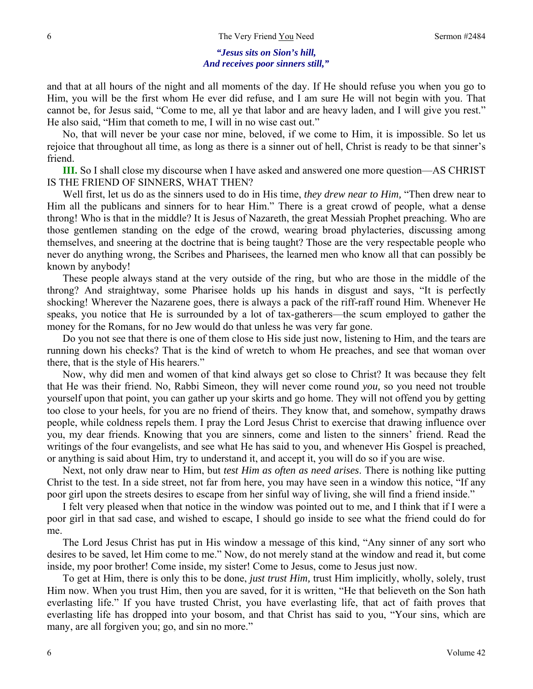## *"Jesus sits on Sion's hill, And receives poor sinners still,"*

and that at all hours of the night and all moments of the day. If He should refuse you when you go to Him, you will be the first whom He ever did refuse, and I am sure He will not begin with you. That cannot be, for Jesus said, "Come to me, all ye that labor and are heavy laden, and I will give you rest." He also said, "Him that cometh to me, I will in no wise cast out."

No, that will never be your case nor mine, beloved, if we come to Him, it is impossible. So let us rejoice that throughout all time, as long as there is a sinner out of hell, Christ is ready to be that sinner's friend.

**III.** So I shall close my discourse when I have asked and answered one more question—AS CHRIST IS THE FRIEND OF SINNERS, WHAT THEN?

Well first, let us do as the sinners used to do in His time, *they drew near to Him,* "Then drew near to Him all the publicans and sinners for to hear Him." There is a great crowd of people, what a dense throng! Who is that in the middle? It is Jesus of Nazareth, the great Messiah Prophet preaching. Who are those gentlemen standing on the edge of the crowd, wearing broad phylacteries, discussing among themselves, and sneering at the doctrine that is being taught? Those are the very respectable people who never do anything wrong, the Scribes and Pharisees, the learned men who know all that can possibly be known by anybody!

These people always stand at the very outside of the ring, but who are those in the middle of the throng? And straightway, some Pharisee holds up his hands in disgust and says, "It is perfectly shocking! Wherever the Nazarene goes, there is always a pack of the riff-raff round Him. Whenever He speaks, you notice that He is surrounded by a lot of tax-gatherers—the scum employed to gather the money for the Romans, for no Jew would do that unless he was very far gone.

Do you not see that there is one of them close to His side just now, listening to Him, and the tears are running down his checks? That is the kind of wretch to whom He preaches, and see that woman over there, that is the style of His hearers."

Now, why did men and women of that kind always get so close to Christ? It was because they felt that He was their friend. No, Rabbi Simeon, they will never come round *you,* so you need not trouble yourself upon that point, you can gather up your skirts and go home. They will not offend you by getting too close to your heels, for you are no friend of theirs. They know that, and somehow, sympathy draws people, while coldness repels them. I pray the Lord Jesus Christ to exercise that drawing influence over you, my dear friends. Knowing that you are sinners, come and listen to the sinners' friend. Read the writings of the four evangelists, and see what He has said to you, and whenever His Gospel is preached, or anything is said about Him, try to understand it, and accept it, you will do so if you are wise.

Next, not only draw near to Him, but *test Him as often as need arises*. There is nothing like putting Christ to the test. In a side street, not far from here, you may have seen in a window this notice, "If any poor girl upon the streets desires to escape from her sinful way of living, she will find a friend inside."

I felt very pleased when that notice in the window was pointed out to me, and I think that if I were a poor girl in that sad case, and wished to escape, I should go inside to see what the friend could do for me.

The Lord Jesus Christ has put in His window a message of this kind, "Any sinner of any sort who desires to be saved, let Him come to me." Now, do not merely stand at the window and read it, but come inside, my poor brother! Come inside, my sister! Come to Jesus, come to Jesus just now.

To get at Him, there is only this to be done, *just trust Him,* trust Him implicitly, wholly, solely, trust Him now. When you trust Him, then you are saved, for it is written, "He that believeth on the Son hath everlasting life." If you have trusted Christ, you have everlasting life, that act of faith proves that everlasting life has dropped into your bosom, and that Christ has said to you, "Your sins, which are many, are all forgiven you; go, and sin no more."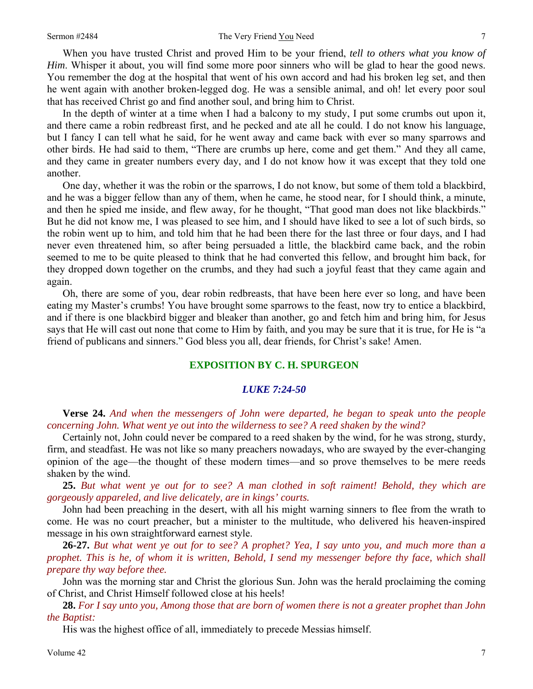#### Sermon #2484 The Very Friend You Need 7

When you have trusted Christ and proved Him to be your friend, *tell to others what you know of Him*. Whisper it about, you will find some more poor sinners who will be glad to hear the good news. You remember the dog at the hospital that went of his own accord and had his broken leg set, and then he went again with another broken-legged dog. He was a sensible animal, and oh! let every poor soul that has received Christ go and find another soul, and bring him to Christ.

In the depth of winter at a time when I had a balcony to my study, I put some crumbs out upon it, and there came a robin redbreast first, and he pecked and ate all he could. I do not know his language, but I fancy I can tell what he said, for he went away and came back with ever so many sparrows and other birds. He had said to them, "There are crumbs up here, come and get them." And they all came, and they came in greater numbers every day, and I do not know how it was except that they told one another.

One day, whether it was the robin or the sparrows, I do not know, but some of them told a blackbird, and he was a bigger fellow than any of them, when he came, he stood near, for I should think, a minute, and then he spied me inside, and flew away, for he thought, "That good man does not like blackbirds." But he did not know me, I was pleased to see him, and I should have liked to see a lot of such birds, so the robin went up to him, and told him that he had been there for the last three or four days, and I had never even threatened him, so after being persuaded a little, the blackbird came back, and the robin seemed to me to be quite pleased to think that he had converted this fellow, and brought him back, for they dropped down together on the crumbs, and they had such a joyful feast that they came again and again.

Oh, there are some of you, dear robin redbreasts, that have been here ever so long, and have been eating my Master's crumbs! You have brought some sparrows to the feast, now try to entice a blackbird, and if there is one blackbird bigger and bleaker than another, go and fetch him and bring him, for Jesus says that He will cast out none that come to Him by faith, and you may be sure that it is true, for He is "a friend of publicans and sinners." God bless you all, dear friends, for Christ's sake! Amen.

## **EXPOSITION BY C. H. SPURGEON**

## *LUKE 7:24-50*

**Verse 24.** *And when the messengers of John were departed, he began to speak unto the people concerning John. What went ye out into the wilderness to see? A reed shaken by the wind?* 

Certainly not, John could never be compared to a reed shaken by the wind, for he was strong, sturdy, firm, and steadfast. He was not like so many preachers nowadays, who are swayed by the ever-changing opinion of the age—the thought of these modern times—and so prove themselves to be mere reeds shaken by the wind.

**25.** *But what went ye out for to see? A man clothed in soft raiment! Behold, they which are gorgeously appareled, and live delicately, are in kings' courts.* 

John had been preaching in the desert, with all his might warning sinners to flee from the wrath to come. He was no court preacher, but a minister to the multitude, who delivered his heaven-inspired message in his own straightforward earnest style.

**26-27.** *But what went ye out for to see? A prophet? Yea, I say unto you, and much more than a prophet. This is he, of whom it is written, Behold, I send my messenger before thy face, which shall prepare thy way before thee.* 

John was the morning star and Christ the glorious Sun. John was the herald proclaiming the coming of Christ, and Christ Himself followed close at his heels!

**28.** *For I say unto you, Among those that are born of women there is not a greater prophet than John the Baptist:* 

His was the highest office of all, immediately to precede Messias himself.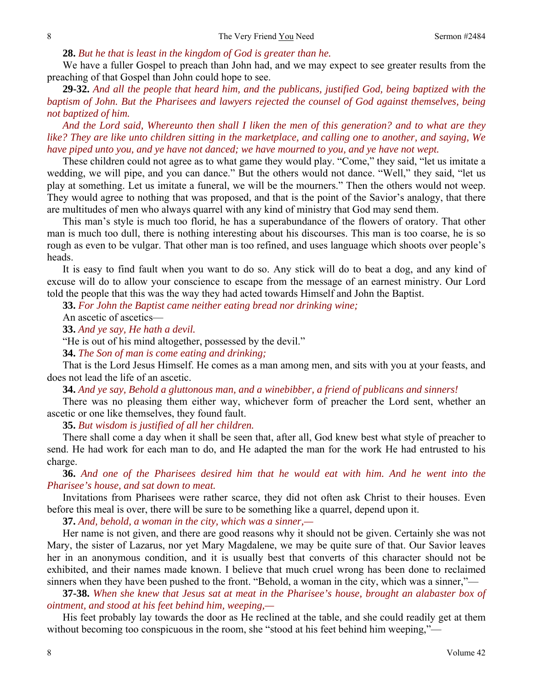#### **28.** *But he that is least in the kingdom of God is greater than he.*

We have a fuller Gospel to preach than John had, and we may expect to see greater results from the preaching of that Gospel than John could hope to see.

**29-32.** *And all the people that heard him, and the publicans, justified God, being baptized with the baptism of John. But the Pharisees and lawyers rejected the counsel of God against themselves, being not baptized of him.* 

*And the Lord said, Whereunto then shall I liken the men of this generation? and to what are they like? They are like unto children sitting in the marketplace, and calling one to another, and saying, We have piped unto you, and ye have not danced; we have mourned to you, and ye have not wept.* 

These children could not agree as to what game they would play. "Come," they said, "let us imitate a wedding, we will pipe, and you can dance." But the others would not dance. "Well," they said, "let us play at something. Let us imitate a funeral, we will be the mourners." Then the others would not weep. They would agree to nothing that was proposed, and that is the point of the Savior's analogy, that there are multitudes of men who always quarrel with any kind of ministry that God may send them.

This man's style is much too florid, he has a superabundance of the flowers of oratory. That other man is much too dull, there is nothing interesting about his discourses. This man is too coarse, he is so rough as even to be vulgar. That other man is too refined, and uses language which shoots over people's heads.

It is easy to find fault when you want to do so. Any stick will do to beat a dog, and any kind of excuse will do to allow your conscience to escape from the message of an earnest ministry. Our Lord told the people that this was the way they had acted towards Himself and John the Baptist.

**33.** *For John the Baptist came neither eating bread nor drinking wine;* 

An ascetic of ascetics—

**33.** *And ye say, He hath a devil.* 

"He is out of his mind altogether, possessed by the devil."

**34.** *The Son of man is come eating and drinking;* 

That is the Lord Jesus Himself. He comes as a man among men, and sits with you at your feasts, and does not lead the life of an ascetic.

**34.** *And ye say, Behold a gluttonous man, and a winebibber, a friend of publicans and sinners!* 

There was no pleasing them either way, whichever form of preacher the Lord sent, whether an ascetic or one like themselves, they found fault.

**35.** *But wisdom is justified of all her children.* 

There shall come a day when it shall be seen that, after all, God knew best what style of preacher to send. He had work for each man to do, and He adapted the man for the work He had entrusted to his charge.

**36.** *And one of the Pharisees desired him that he would eat with him. And he went into the Pharisee's house, and sat down to meat.* 

Invitations from Pharisees were rather scarce, they did not often ask Christ to their houses. Even before this meal is over, there will be sure to be something like a quarrel, depend upon it.

**37.** *And, behold, a woman in the city, which was a sinner,—* 

Her name is not given, and there are good reasons why it should not be given. Certainly she was not Mary, the sister of Lazarus, nor yet Mary Magdalene, we may be quite sure of that. Our Savior leaves her in an anonymous condition, and it is usually best that converts of this character should not be exhibited, and their names made known. I believe that much cruel wrong has been done to reclaimed sinners when they have been pushed to the front. "Behold, a woman in the city, which was a sinner,"—

**37-38.** *When she knew that Jesus sat at meat in the Pharisee's house, brought an alabaster box of ointment, and stood at his feet behind him, weeping,—* 

His feet probably lay towards the door as He reclined at the table, and she could readily get at them without becoming too conspicuous in the room, she "stood at his feet behind him weeping,"—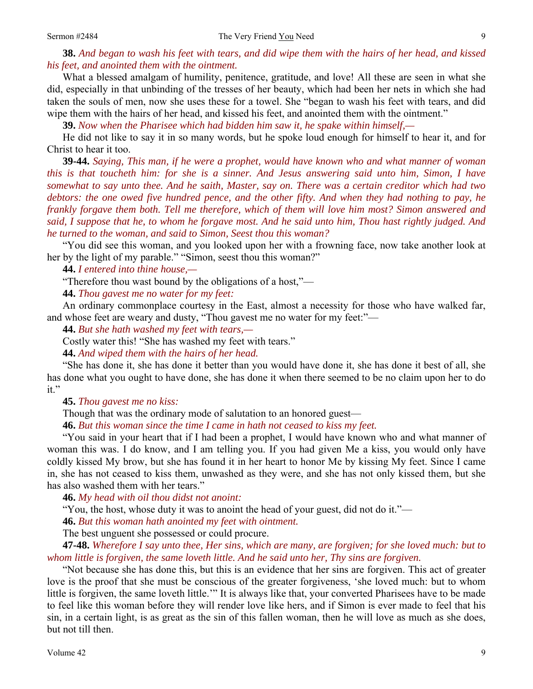**38.** *And began to wash his feet with tears, and did wipe them with the hairs of her head, and kissed his feet, and anointed them with the ointment.* 

What a blessed amalgam of humility, penitence, gratitude, and love! All these are seen in what she did, especially in that unbinding of the tresses of her beauty, which had been her nets in which she had taken the souls of men, now she uses these for a towel. She "began to wash his feet with tears, and did wipe them with the hairs of her head, and kissed his feet, and anointed them with the ointment."

**39.** *Now when the Pharisee which had bidden him saw it, he spake within himself,—* 

He did not like to say it in so many words, but he spoke loud enough for himself to hear it, and for Christ to hear it too.

**39-44.** *Saying, This man, if he were a prophet, would have known who and what manner of woman this is that toucheth him: for she is a sinner. And Jesus answering said unto him, Simon, I have somewhat to say unto thee. And he saith, Master, say on. There was a certain creditor which had two debtors: the one owed five hundred pence, and the other fifty. And when they had nothing to pay, he frankly forgave them both. Tell me therefore, which of them will love him most? Simon answered and said, I suppose that he, to whom he forgave most. And he said unto him, Thou hast rightly judged. And he turned to the woman, and said to Simon, Seest thou this woman?* 

"You did see this woman, and you looked upon her with a frowning face, now take another look at her by the light of my parable." "Simon, seest thou this woman?"

**44.** *I entered into thine house,—* 

"Therefore thou wast bound by the obligations of a host,"—

**44.** *Thou gavest me no water for my feet:* 

An ordinary commonplace courtesy in the East, almost a necessity for those who have walked far, and whose feet are weary and dusty, "Thou gavest me no water for my feet:"—

**44.** *But she hath washed my feet with tears,—* 

Costly water this! "She has washed my feet with tears."

**44.** *And wiped them with the hairs of her head.* 

"She has done it, she has done it better than you would have done it, she has done it best of all, she has done what you ought to have done, she has done it when there seemed to be no claim upon her to do it."

**45.** *Thou gavest me no kiss:* 

Though that was the ordinary mode of salutation to an honored guest—

**46.** *But this woman since the time I came in hath not ceased to kiss my feet.* 

"You said in your heart that if I had been a prophet, I would have known who and what manner of woman this was. I do know, and I am telling you. If you had given Me a kiss, you would only have coldly kissed My brow, but she has found it in her heart to honor Me by kissing My feet. Since I came in, she has not ceased to kiss them, unwashed as they were, and she has not only kissed them, but she has also washed them with her tears."

**46.** *My head with oil thou didst not anoint:* 

"You, the host, whose duty it was to anoint the head of your guest, did not do it."—

**46.** *But this woman hath anointed my feet with ointment.* 

The best unguent she possessed or could procure.

**47-48.** *Wherefore I say unto thee, Her sins, which are many, are forgiven; for she loved much: but to whom little is forgiven, the same loveth little. And he said unto her, Thy sins are forgiven.* 

"Not because she has done this, but this is an evidence that her sins are forgiven. This act of greater love is the proof that she must be conscious of the greater forgiveness, 'she loved much: but to whom little is forgiven, the same loveth little.'" It is always like that, your converted Pharisees have to be made to feel like this woman before they will render love like hers, and if Simon is ever made to feel that his sin, in a certain light, is as great as the sin of this fallen woman, then he will love as much as she does, but not till then.